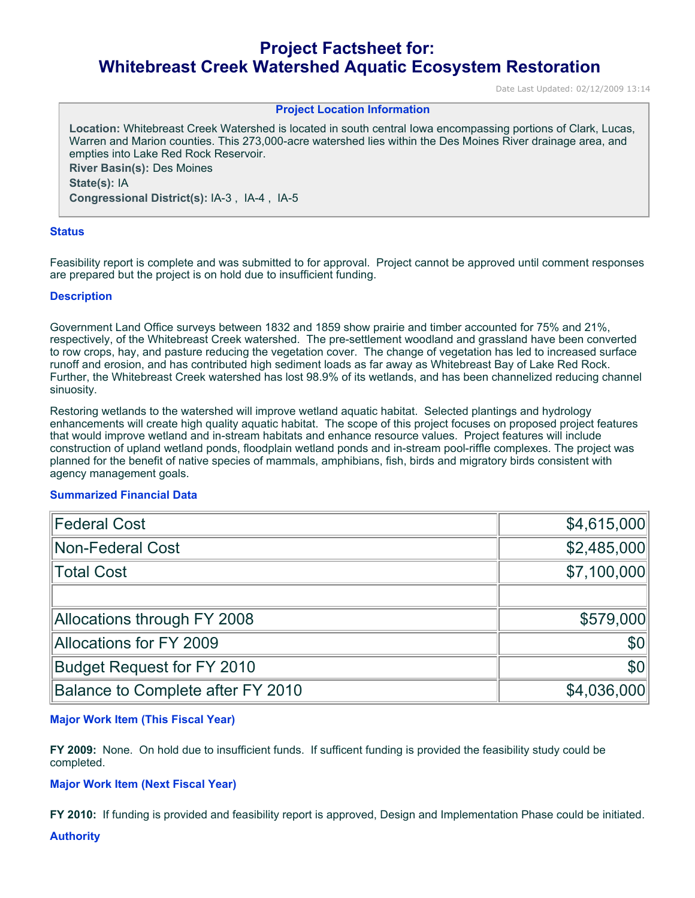# **Project Factsheet for: Whitebreast Creek Watershed Aquatic Ecosystem Restoration**

Date Last Updated: 02/12/2009 13:14

## **Project Location Information**

**Location:** Whitebreast Creek Watershed is located in south central Iowa encompassing portions of Clark, Lucas, Warren and Marion counties. This 273,000-acre watershed lies within the Des Moines River drainage area, and empties into Lake Red Rock Reservoir.

**River Basin(s):** Des Moines **State(s):** IA **Congressional District(s):** IA-3 , IA-4 , IA-5

### **Status**

Feasibility report is complete and was submitted to for approval. Project cannot be approved until comment responses are prepared but the project is on hold due to insufficient funding.

### **Description**

Government Land Office surveys between 1832 and 1859 show prairie and timber accounted for 75% and 21%, respectively, of the Whitebreast Creek watershed. The pre-settlement woodland and grassland have been converted to row crops, hay, and pasture reducing the vegetation cover. The change of vegetation has led to increased surface runoff and erosion, and has contributed high sediment loads as far away as Whitebreast Bay of Lake Red Rock. Further, the Whitebreast Creek watershed has lost 98.9% of its wetlands, and has been channelized reducing channel sinuosity.

Restoring wetlands to the watershed will improve wetland aquatic habitat. Selected plantings and hydrology enhancements will create high quality aquatic habitat. The scope of this project focuses on proposed project features that would improve wetland and in-stream habitats and enhance resource values. Project features will include construction of upland wetland ponds, floodplain wetland ponds and in-stream pool-riffle complexes. The project was planned for the benefit of native species of mammals, amphibians, fish, birds and migratory birds consistent with agency management goals.

## **Summarized Financial Data**

| <b>Federal Cost</b>               | \$4,615,000 |
|-----------------------------------|-------------|
| Non-Federal Cost                  | \$2,485,000 |
| Total Cost                        | \$7,100,000 |
|                                   |             |
| Allocations through FY 2008       | \$579,000   |
| <b>Allocations for FY 2009</b>    | <b>\$0</b>  |
| <b>Budget Request for FY 2010</b> | \$0         |
| Balance to Complete after FY 2010 | \$4,036,000 |

# **Major Work Item (This Fiscal Year)**

**FY 2009:** None. On hold due to insufficient funds. If sufficent funding is provided the feasibility study could be completed.

## **Major Work Item (Next Fiscal Year)**

**FY 2010:** If funding is provided and feasibility report is approved, Design and Implementation Phase could be initiated.

**Authority**